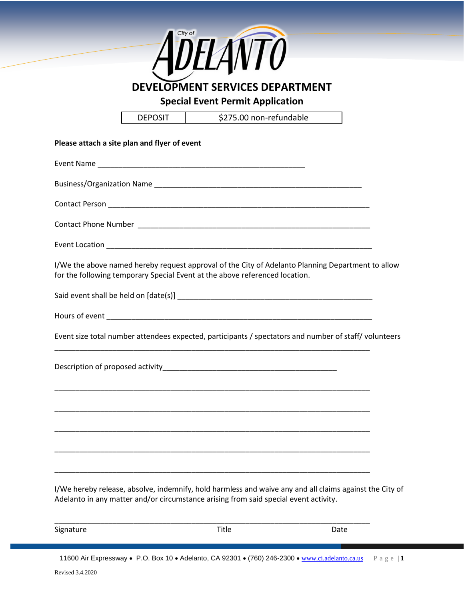

| Signature | Title | Date |
|-----------|-------|------|
|           |       |      |

11600 Air Expressway • P.O. Box 10 • Adelanto, CA 92301 • (760) 246-2300 • [www.ci.adelanto.ca.us](http://www.ci.adelanto.ca.us/) P a g e | **1**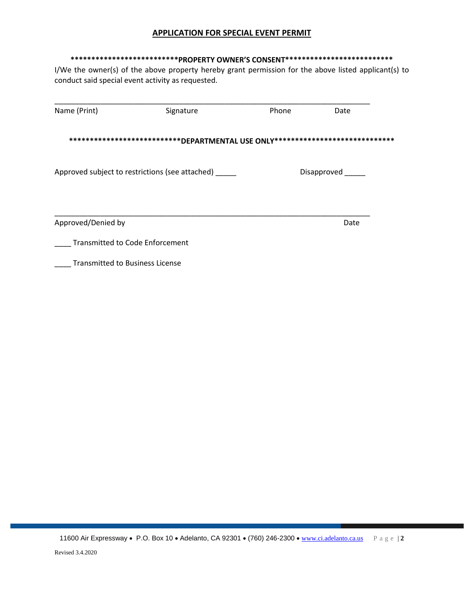## **APPLICATION FOR SPECIAL EVENT PERMIT**

## **\*\*\*\*\*\*\*\*\*\*\*\*\*\*\*\*\*\*\*\*\*\*\*\*\*\*PROPERTY OWNER'S CONSENT\*\*\*\*\*\*\*\*\*\*\*\*\*\*\*\*\*\*\*\*\*\*\*\*\*\***

I/We the owner(s) of the above property hereby grant permission for the above listed applicant(s) to conduct said special event activity as requested.

| Name (Print)                           | Signature                                                     | Phone | Date              |  |
|----------------------------------------|---------------------------------------------------------------|-------|-------------------|--|
|                                        | *****************************DEPARTMENTAL USE ONLY*********** |       | ***************** |  |
|                                        | Approved subject to restrictions (see attached)               |       | Disapproved       |  |
| Approved/Denied by                     |                                                               |       | Date              |  |
| <b>Transmitted to Code Enforcement</b> |                                                               |       |                   |  |
| <b>Transmitted to Business License</b> |                                                               |       |                   |  |

11600 Air Expressway • P.O. Box 10 • Adelanto, CA 92301 • (760) 246-2300 • [www.ci.adelanto.ca.us](http://www.ci.adelanto.ca.us/) P a g e | **2**